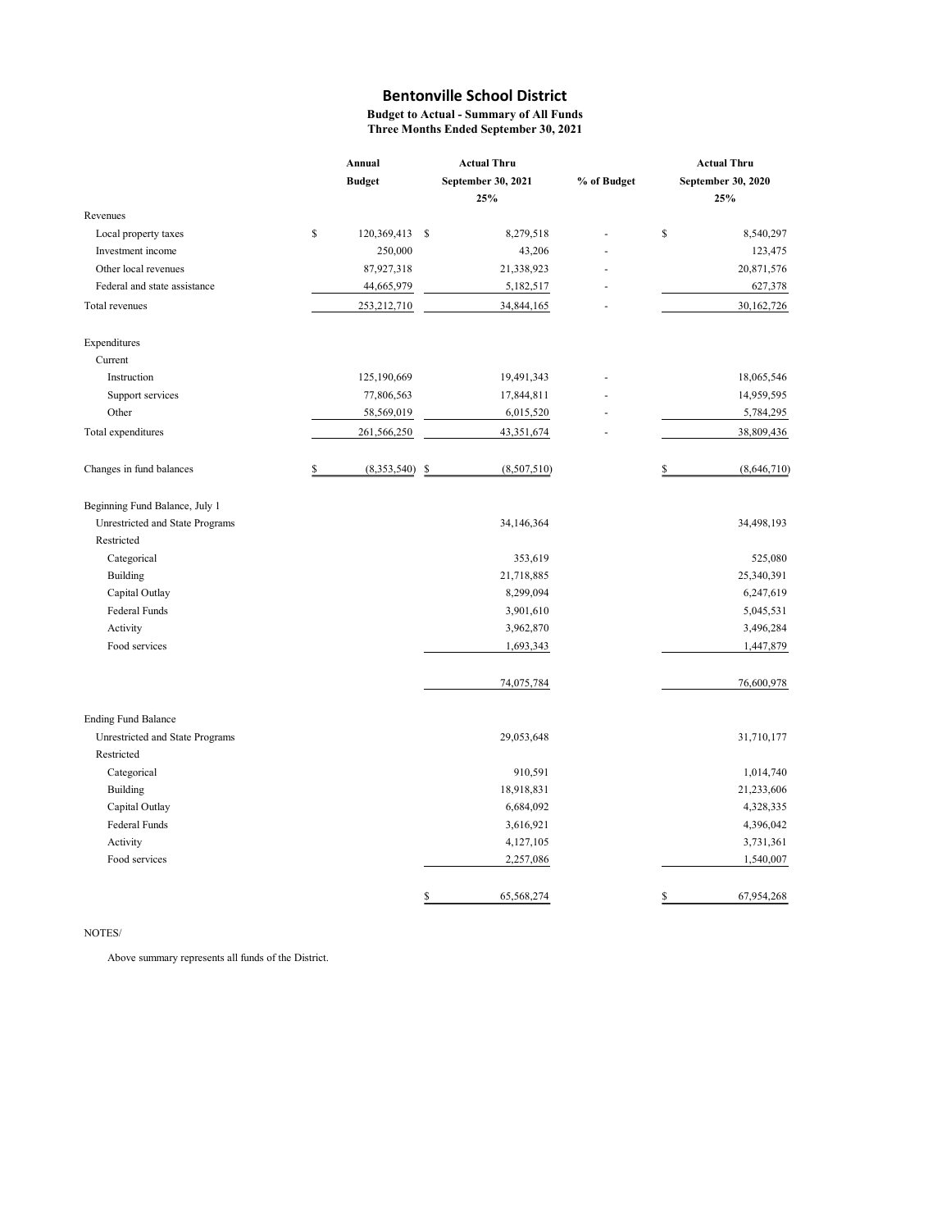Budget to Actual - Summary of All Funds Three Months Ended September 30, 2021

|                                 | Annual                 |    | <b>Actual Thru</b> |             |                    | <b>Actual Thru</b> |  |  |
|---------------------------------|------------------------|----|--------------------|-------------|--------------------|--------------------|--|--|
|                                 | <b>Budget</b>          |    | September 30, 2021 | % of Budget | September 30, 2020 |                    |  |  |
|                                 |                        |    | 25%                |             |                    | 25%                |  |  |
| Revenues                        |                        |    |                    |             |                    |                    |  |  |
| Local property taxes            | \$<br>120,369,413 \$   |    | 8,279,518          |             | $\mathbb{S}$       | 8,540,297          |  |  |
| Investment income               | 250,000                |    | 43,206             |             |                    | 123,475            |  |  |
| Other local revenues            | 87,927,318             |    | 21,338,923         |             |                    | 20,871,576         |  |  |
| Federal and state assistance    | 44,665,979             |    | 5,182,517          |             |                    | 627,378            |  |  |
| Total revenues                  | 253,212,710            |    | 34,844,165         |             |                    | 30,162,726         |  |  |
| Expenditures                    |                        |    |                    |             |                    |                    |  |  |
| Current                         |                        |    |                    |             |                    |                    |  |  |
| Instruction                     | 125,190,669            |    | 19,491,343         |             |                    | 18,065,546         |  |  |
| Support services                | 77,806,563             |    | 17,844,811         |             |                    | 14,959,595         |  |  |
| Other                           | 58,569,019             |    | 6,015,520          |             |                    | 5,784,295          |  |  |
| Total expenditures              | 261,566,250            |    | 43,351,674         |             |                    | 38,809,436         |  |  |
| Changes in fund balances        | \$<br>$(8,353,540)$ \$ |    | (8,507,510)        |             | \$                 | (8,646,710)        |  |  |
| Beginning Fund Balance, July 1  |                        |    |                    |             |                    |                    |  |  |
| Unrestricted and State Programs |                        |    | 34,146,364         |             |                    | 34,498,193         |  |  |
| Restricted                      |                        |    |                    |             |                    |                    |  |  |
| Categorical                     |                        |    | 353,619            |             |                    | 525,080            |  |  |
| Building                        |                        |    | 21,718,885         |             |                    | 25,340,391         |  |  |
| Capital Outlay                  |                        |    | 8,299,094          |             |                    | 6,247,619          |  |  |
| Federal Funds                   |                        |    | 3,901,610          |             |                    | 5,045,531          |  |  |
| Activity                        |                        |    | 3,962,870          |             |                    | 3,496,284          |  |  |
| Food services                   |                        |    | 1,693,343          |             |                    | 1,447,879          |  |  |
|                                 |                        |    | 74,075,784         |             |                    | 76,600,978         |  |  |
| <b>Ending Fund Balance</b>      |                        |    |                    |             |                    |                    |  |  |
| Unrestricted and State Programs |                        |    | 29,053,648         |             |                    | 31,710,177         |  |  |
| Restricted                      |                        |    |                    |             |                    |                    |  |  |
| Categorical                     |                        |    | 910,591            |             |                    | 1,014,740          |  |  |
| <b>Building</b>                 |                        |    | 18,918,831         |             |                    | 21,233,606         |  |  |
| Capital Outlay                  |                        |    | 6,684,092          |             |                    | 4,328,335          |  |  |
| Federal Funds                   |                        |    | 3,616,921          |             |                    | 4,396,042          |  |  |
| Activity                        |                        |    | 4,127,105          |             |                    | 3,731,361          |  |  |
| Food services                   |                        |    | 2,257,086          |             |                    | 1,540,007          |  |  |
|                                 |                        | \$ | 65,568,274         |             | $\mathbb{S}$       | 67,954,268         |  |  |

#### NOTES/

Above summary represents all funds of the District.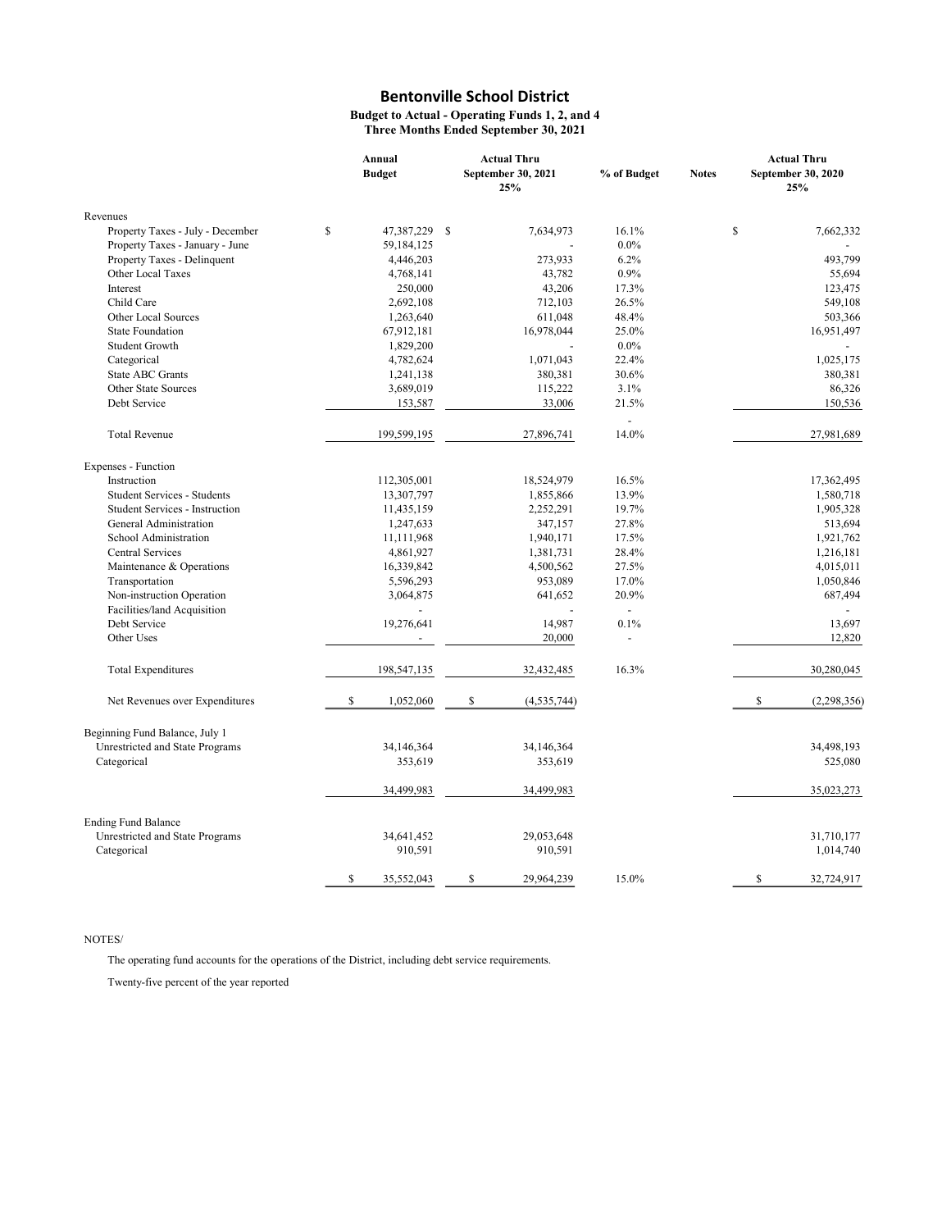#### Budget to Actual - Operating Funds 1, 2, and 4 Three Months Ended September 30, 2021

|                                       | Annual       |                 |    | <b>Actual Thru</b>        |                          |              | <b>Actual Thru</b>        |  |
|---------------------------------------|--------------|-----------------|----|---------------------------|--------------------------|--------------|---------------------------|--|
|                                       |              | <b>Budget</b>   |    | September 30, 2021<br>25% | % of Budget              | <b>Notes</b> | September 30, 2020<br>25% |  |
| Revenues                              |              |                 |    |                           |                          |              |                           |  |
| Property Taxes - July - December      | \$           | 47,387,229      | -S | 7,634,973                 | 16.1%                    |              | \$<br>7,662,332           |  |
| Property Taxes - January - June       |              | 59,184,125      |    |                           | $0.0\%$                  |              |                           |  |
| Property Taxes - Delinquent           |              | 4,446,203       |    | 273,933                   | 6.2%                     |              | 493,799                   |  |
| Other Local Taxes                     |              | 4,768,141       |    | 43,782                    | 0.9%                     |              | 55,694                    |  |
| Interest                              |              | 250,000         |    | 43,206                    | 17.3%                    |              | 123,475                   |  |
| Child Care                            |              | 2,692,108       |    | 712,103                   | 26.5%                    |              | 549,108                   |  |
| Other Local Sources                   |              | 1,263,640       |    | 611,048                   | 48.4%                    |              | 503,366                   |  |
| <b>State Foundation</b>               |              | 67,912,181      |    | 16,978,044                | 25.0%                    |              | 16,951,497                |  |
| Student Growth                        |              | 1,829,200       |    |                           | $0.0\%$                  |              |                           |  |
| Categorical                           |              | 4,782,624       |    | 1,071,043                 | 22.4%                    |              | 1,025,175                 |  |
| State ABC Grants                      |              | 1,241,138       |    | 380,381                   | 30.6%                    |              | 380,381                   |  |
| Other State Sources                   |              | 3,689,019       |    | 115,222                   | 3.1%                     |              | 86,326                    |  |
| Debt Service                          |              | 153,587         |    | 33,006                    | 21.5%                    |              | 150,536                   |  |
| <b>Total Revenue</b>                  |              | 199,599,195     |    | 27,896,741                | 14.0%                    |              | 27,981,689                |  |
| Expenses - Function                   |              |                 |    |                           |                          |              |                           |  |
| Instruction                           |              | 112,305,001     |    | 18,524,979                | 16.5%                    |              | 17,362,495                |  |
| <b>Student Services - Students</b>    |              | 13,307,797      |    | 1,855,866                 | 13.9%                    |              | 1,580,718                 |  |
| <b>Student Services - Instruction</b> |              | 11,435,159      |    | 2,252,291                 | 19.7%                    |              | 1,905,328                 |  |
| General Administration                |              | 1,247,633       |    | 347,157                   | 27.8%                    |              | 513,694                   |  |
| School Administration                 |              | 11,111,968      |    | 1,940,171                 | 17.5%                    |              | 1,921,762                 |  |
| Central Services                      |              | 4,861,927       |    | 1,381,731                 | 28.4%                    |              | 1,216,181                 |  |
| Maintenance & Operations              |              | 16,339,842      |    | 4,500,562                 | 27.5%                    |              | 4,015,011                 |  |
| Transportation                        |              | 5,596,293       |    | 953,089                   | 17.0%                    |              | 1,050,846                 |  |
| Non-instruction Operation             |              | 3,064,875       |    | 641,652                   | 20.9%                    |              | 687,494                   |  |
| Facilities/land Acquisition           |              |                 |    |                           | $\overline{\phantom{a}}$ |              |                           |  |
| Debt Service                          |              | 19,276,641      |    | 14,987                    | 0.1%                     |              | 13,697                    |  |
| Other Uses                            |              | $\overline{a}$  |    | 20,000                    | $\blacksquare$           |              | 12,820                    |  |
| <b>Total Expenditures</b>             |              | 198,547,135     |    | 32,432,485                | 16.3%                    |              | 30,280,045                |  |
| Net Revenues over Expenditures        |              | \$<br>1,052,060 |    | \$<br>(4, 535, 744)       |                          |              | \$<br>(2, 298, 356)       |  |
| Beginning Fund Balance, July 1        |              |                 |    |                           |                          |              |                           |  |
| Unrestricted and State Programs       |              | 34,146,364      |    | 34,146,364                |                          |              | 34,498,193                |  |
| Categorical                           |              | 353,619         |    | 353,619                   |                          |              | 525,080                   |  |
|                                       |              | 34,499,983      |    | 34,499,983                |                          |              | 35,023,273                |  |
| <b>Ending Fund Balance</b>            |              |                 |    |                           |                          |              |                           |  |
| Unrestricted and State Programs       |              | 34,641,452      |    | 29,053,648                |                          |              | 31,710,177                |  |
| Categorical                           |              | 910,591         |    | 910,591                   |                          |              | 1,014,740                 |  |
|                                       | $\mathbb{S}$ | 35,552,043      |    | \$<br>29,964,239          | 15.0%                    |              | \$<br>32,724,917          |  |

### NOTES/

The operating fund accounts for the operations of the District, including debt service requirements.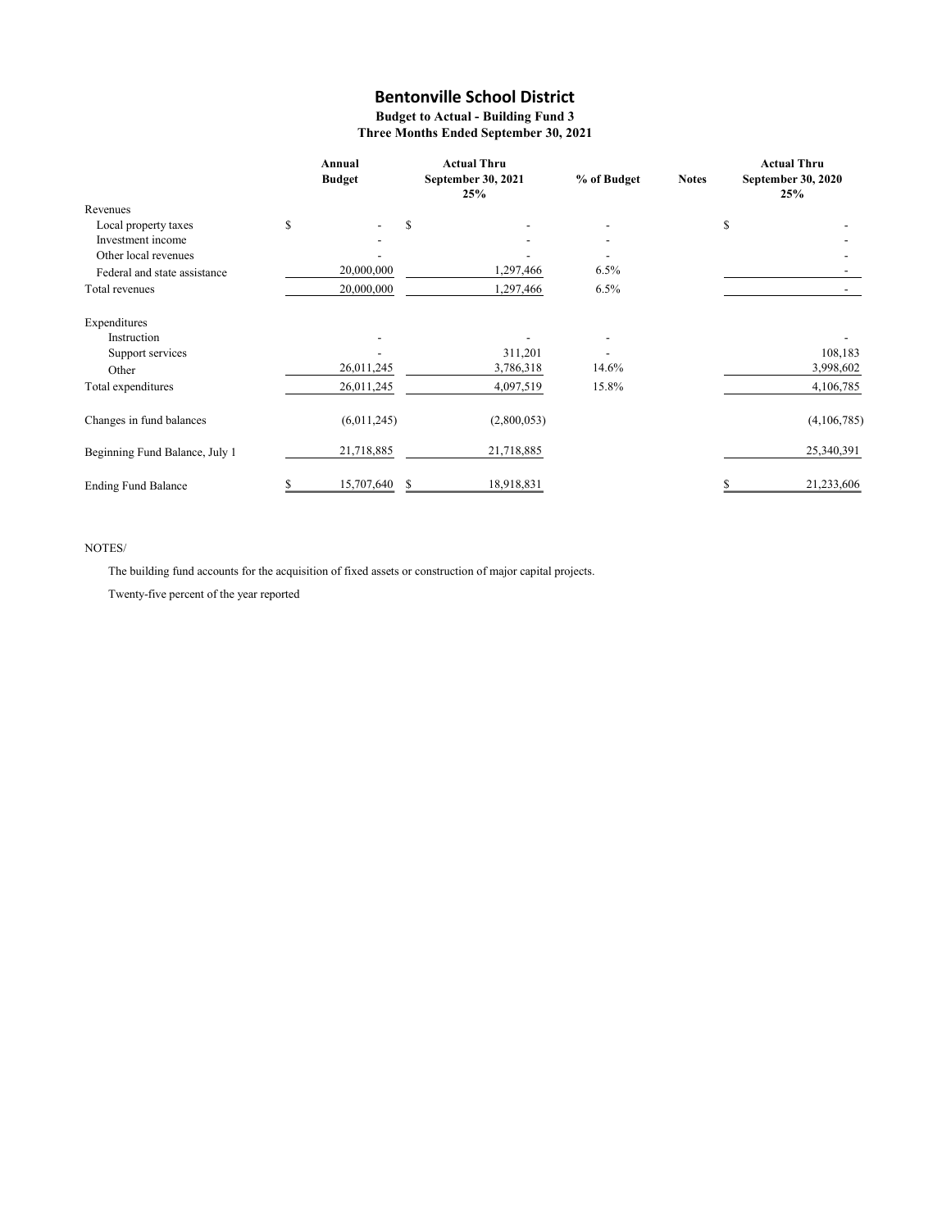### Budget to Actual - Building Fund 3

Three Months Ended September 30, 2021

|                                |    | Annual<br><b>Budget</b>  | <b>Actual Thru</b><br>September 30, 2021<br>25% |             | % of Budget              | <b>Notes</b> | <b>Actual Thru</b><br>September 30, 2020<br>25% |
|--------------------------------|----|--------------------------|-------------------------------------------------|-------------|--------------------------|--------------|-------------------------------------------------|
| Revenues                       |    |                          |                                                 |             |                          |              |                                                 |
| Local property taxes           | \$ | $\overline{\phantom{a}}$ | S                                               |             | $\overline{\phantom{a}}$ | \$           |                                                 |
| Investment income              |    |                          |                                                 |             | $\overline{\phantom{a}}$ |              |                                                 |
| Other local revenues           |    |                          |                                                 |             |                          |              |                                                 |
| Federal and state assistance   |    | 20,000,000               |                                                 | 1,297,466   | 6.5%                     |              |                                                 |
| Total revenues                 |    | 20,000,000               |                                                 | 1,297,466   | 6.5%                     |              |                                                 |
| Expenditures                   |    |                          |                                                 |             |                          |              |                                                 |
| Instruction                    |    | $\overline{\phantom{0}}$ |                                                 |             | $\overline{\phantom{a}}$ |              |                                                 |
| Support services               |    |                          |                                                 | 311,201     |                          |              | 108,183                                         |
| Other                          |    | 26,011,245               |                                                 | 3,786,318   | 14.6%                    |              | 3,998,602                                       |
| Total expenditures             |    | 26,011,245               |                                                 | 4,097,519   | 15.8%                    |              | 4,106,785                                       |
| Changes in fund balances       |    | (6,011,245)              |                                                 | (2,800,053) |                          |              | (4,106,785)                                     |
| Beginning Fund Balance, July 1 |    | 21,718,885               |                                                 | 21,718,885  |                          |              | 25,340,391                                      |
| <b>Ending Fund Balance</b>     | S  | 15,707,640               | S                                               | 18,918,831  |                          | \$.          | 21,233,606                                      |

### NOTES/

The building fund accounts for the acquisition of fixed assets or construction of major capital projects.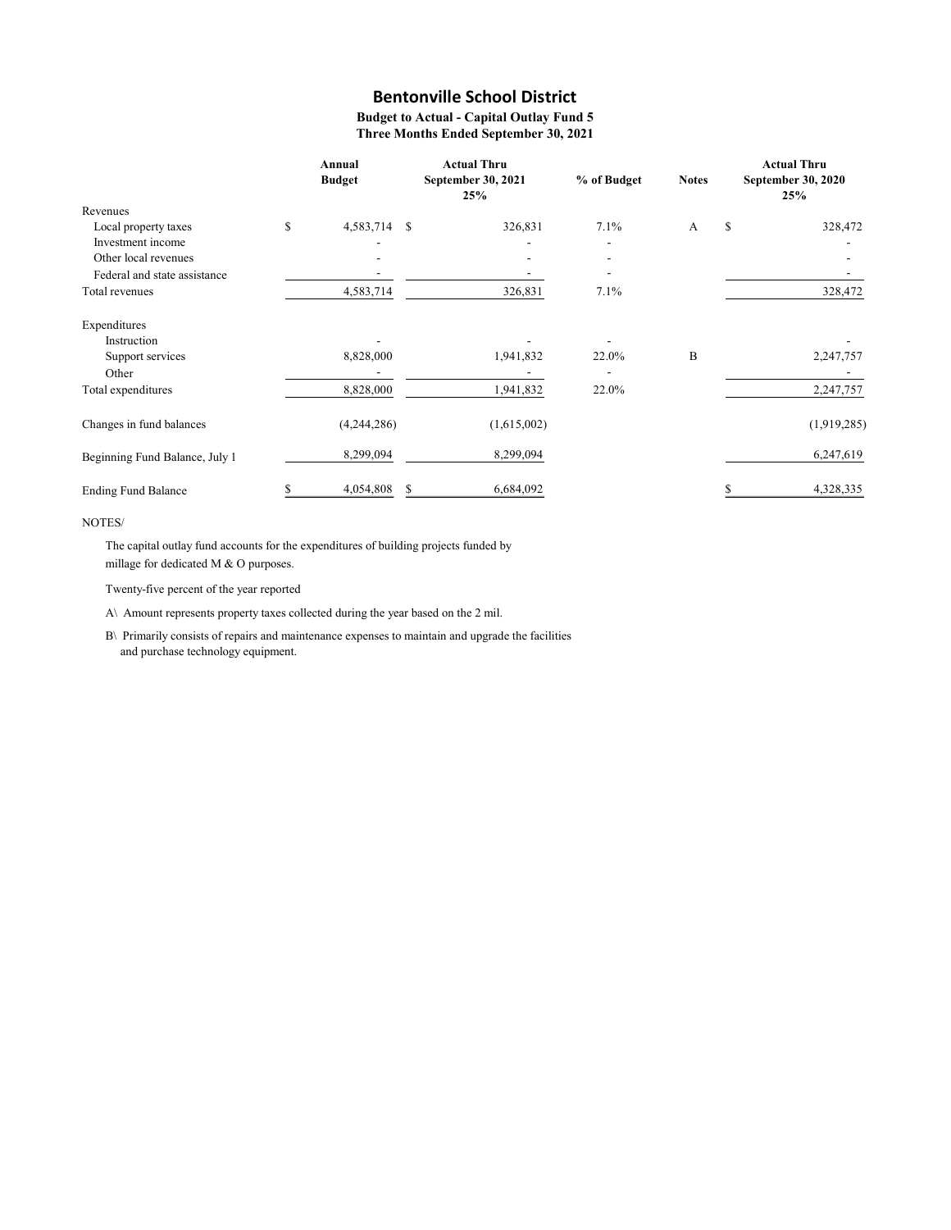Budget to Actual - Capital Outlay Fund 5 Three Months Ended September 30, 2021

|                                | Annual<br><b>Budget</b> |               | <b>Actual Thru</b><br>September 30, 2021<br>25% | % of Budget              | <b>Notes</b> | <b>Actual Thru</b><br>September 30, 2020<br>25% |
|--------------------------------|-------------------------|---------------|-------------------------------------------------|--------------------------|--------------|-------------------------------------------------|
| Revenues                       |                         |               |                                                 |                          |              |                                                 |
| Local property taxes           | \$<br>4,583,714         | <sup>\$</sup> | 326,831                                         | 7.1%                     | A            | \$<br>328,472                                   |
| Investment income              |                         |               |                                                 | $\overline{\phantom{a}}$ |              |                                                 |
| Other local revenues           |                         |               |                                                 | $\overline{\phantom{a}}$ |              |                                                 |
| Federal and state assistance   |                         |               |                                                 |                          |              |                                                 |
| Total revenues                 | 4,583,714               |               | 326,831                                         | 7.1%                     |              | 328,472                                         |
| Expenditures                   |                         |               |                                                 |                          |              |                                                 |
| Instruction                    |                         |               |                                                 |                          |              |                                                 |
| Support services               | 8,828,000               |               | 1,941,832                                       | 22.0%                    | B            | 2,247,757                                       |
| Other                          |                         |               |                                                 |                          |              |                                                 |
| Total expenditures             | 8,828,000               |               | 1,941,832                                       | 22.0%                    |              | 2,247,757                                       |
| Changes in fund balances       | (4,244,286)             |               | (1,615,002)                                     |                          |              | (1,919,285)                                     |
| Beginning Fund Balance, July 1 | 8,299,094               |               | 8,299,094                                       |                          |              | 6,247,619                                       |
| <b>Ending Fund Balance</b>     | 4,054,808               | <sup>\$</sup> | 6,684,092                                       |                          |              | 4,328,335                                       |

### NOTES/

The capital outlay fund accounts for the expenditures of building projects funded by millage for dedicated M & O purposes.

Twenty-five percent of the year reported

A\ Amount represents property taxes collected during the year based on the 2 mil.

B\ Primarily consists of repairs and maintenance expenses to maintain and upgrade the facilities and purchase technology equipment.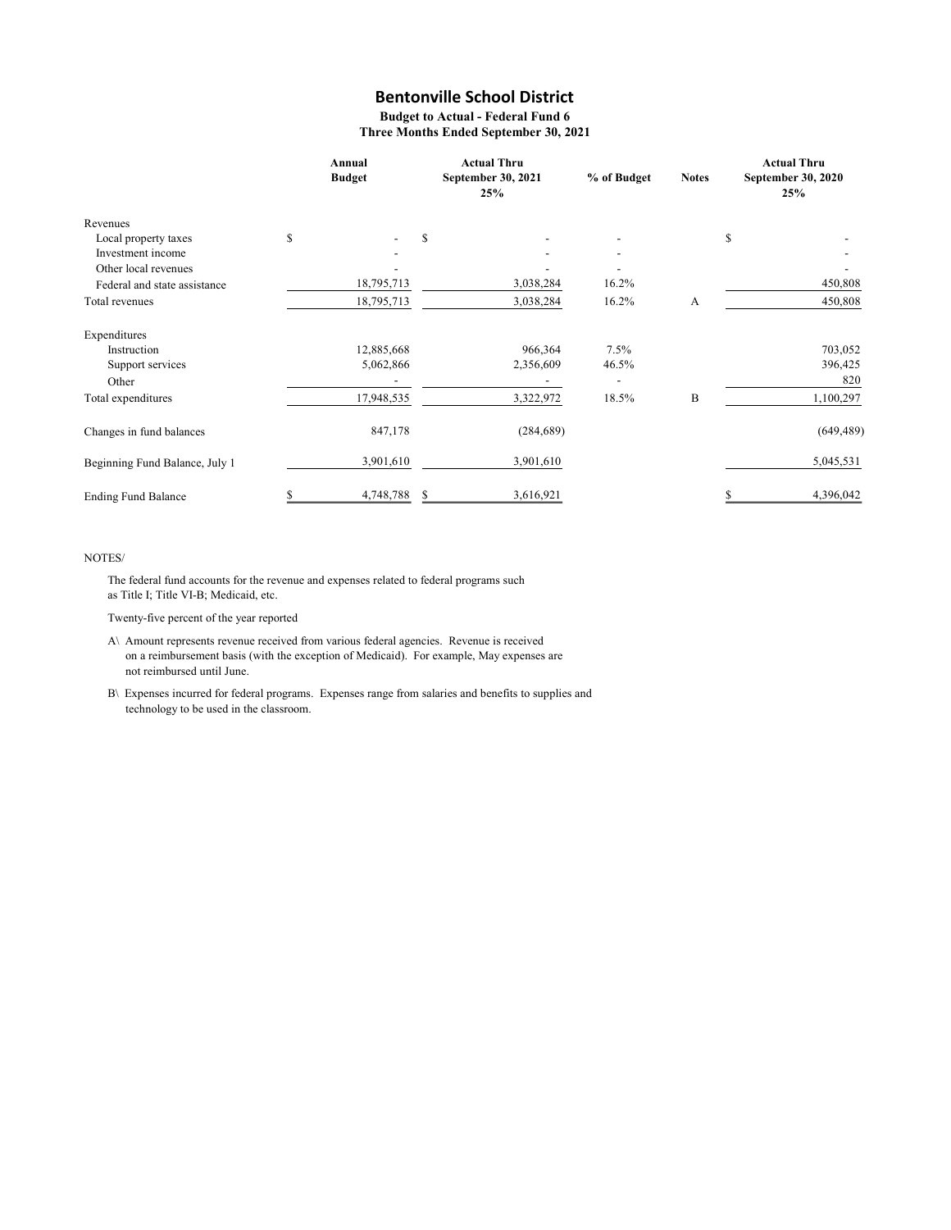Budget to Actual - Federal Fund 6 Three Months Ended September 30, 2021

|                                |    | Annual<br><b>Budget</b> |   | <b>Actual Thru</b><br>September 30, 2021<br>25% | % of Budget | <b>Notes</b> |    | <b>Actual Thru</b><br>September 30, 2020<br>25% |
|--------------------------------|----|-------------------------|---|-------------------------------------------------|-------------|--------------|----|-------------------------------------------------|
| Revenues                       |    |                         |   |                                                 |             |              |    |                                                 |
| Local property taxes           | S  |                         | S |                                                 |             |              | S  |                                                 |
| Investment income              |    |                         |   |                                                 |             |              |    |                                                 |
| Other local revenues           |    |                         |   |                                                 |             |              |    |                                                 |
| Federal and state assistance   |    | 18,795,713              |   | 3,038,284                                       | 16.2%       |              |    | 450,808                                         |
| Total revenues                 |    | 18,795,713              |   | 3,038,284                                       | 16.2%       | А            |    | 450,808                                         |
| Expenditures                   |    |                         |   |                                                 |             |              |    |                                                 |
| Instruction                    |    | 12,885,668              |   | 966,364                                         | 7.5%        |              |    | 703,052                                         |
| Support services               |    | 5,062,866               |   | 2,356,609                                       | 46.5%       |              |    | 396,425                                         |
| Other                          |    |                         |   |                                                 |             |              |    | 820                                             |
| Total expenditures             |    | 17,948,535              |   | 3,322,972                                       | 18.5%       | B            |    | 1,100,297                                       |
| Changes in fund balances       |    | 847,178                 |   | (284, 689)                                      |             |              |    | (649, 489)                                      |
| Beginning Fund Balance, July 1 |    | 3,901,610               |   | 3,901,610                                       |             |              |    | 5,045,531                                       |
| <b>Ending Fund Balance</b>     | \$ | 4,748,788 \$            |   | 3,616,921                                       |             |              | \$ | 4,396,042                                       |

#### NOTES/

The federal fund accounts for the revenue and expenses related to federal programs such as Title I; Title VI-B; Medicaid, etc.

- A\ Amount represents revenue received from various federal agencies. Revenue is received on a reimbursement basis (with the exception of Medicaid). For example, May expenses are not reimbursed until June.
- B\ Expenses incurred for federal programs. Expenses range from salaries and benefits to supplies and technology to be used in the classroom.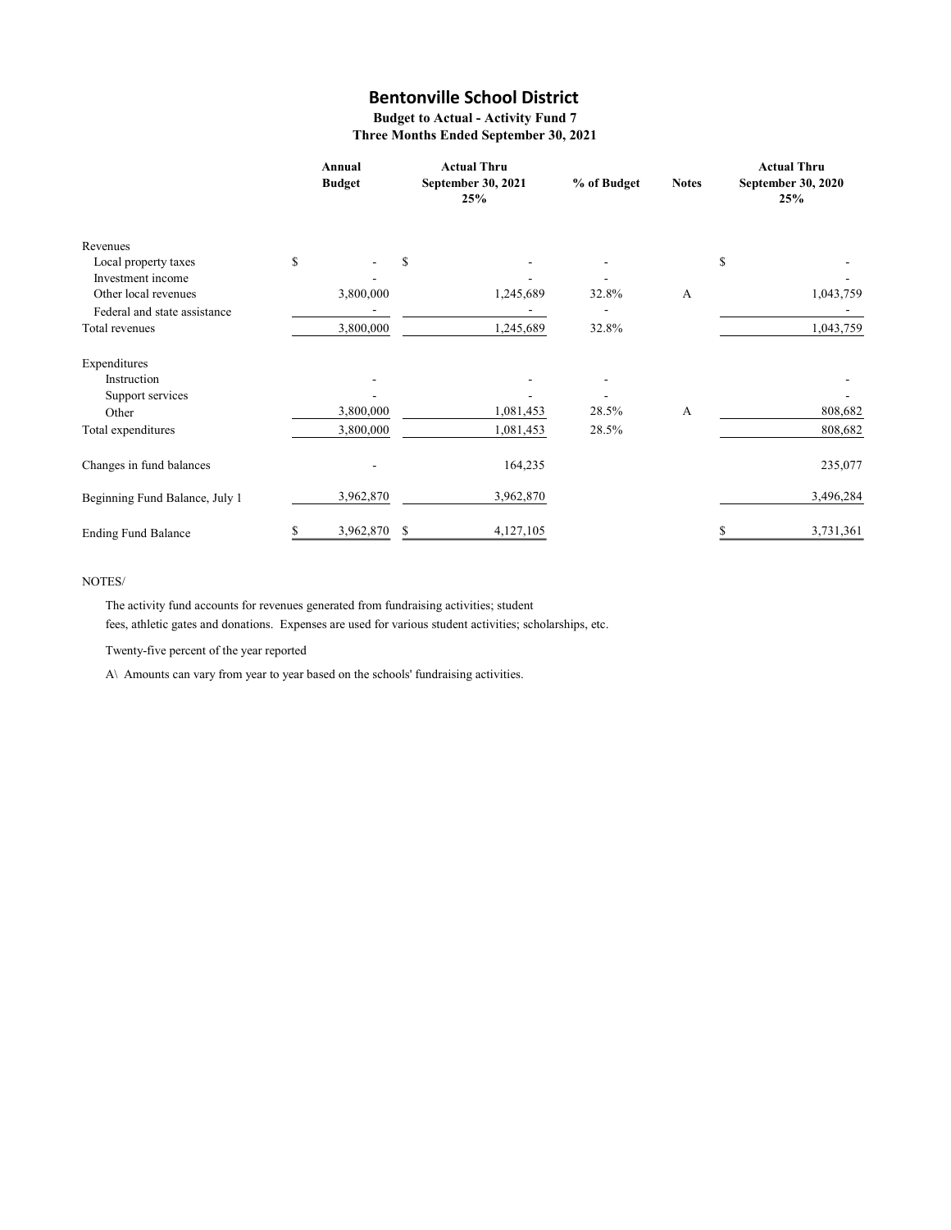Budget to Actual - Activity Fund 7 Three Months Ended September 30, 2021

|                                           | Annual<br><b>Budget</b> |   | <b>Actual Thru</b><br>September 30, 2021<br>25% | % of Budget | <b>Notes</b> | <b>Actual Thru</b><br><b>September 30, 2020</b><br>25% |           |
|-------------------------------------------|-------------------------|---|-------------------------------------------------|-------------|--------------|--------------------------------------------------------|-----------|
| Revenues                                  |                         |   |                                                 |             |              |                                                        |           |
| Local property taxes<br>Investment income | \$                      | S |                                                 |             |              | \$                                                     |           |
| Other local revenues                      | 3,800,000               |   | 1,245,689                                       | 32.8%       | А            |                                                        | 1,043,759 |
| Federal and state assistance              |                         |   |                                                 |             |              |                                                        |           |
| Total revenues                            | 3,800,000               |   | 1,245,689                                       | 32.8%       |              |                                                        | 1,043,759 |
| Expenditures                              |                         |   |                                                 |             |              |                                                        |           |
| Instruction                               |                         |   |                                                 |             |              |                                                        |           |
| Support services                          |                         |   |                                                 |             |              |                                                        |           |
| Other                                     | 3,800,000               |   | 1,081,453                                       | 28.5%       | A            |                                                        | 808,682   |
| Total expenditures                        | 3,800,000               |   | 1,081,453                                       | 28.5%       |              |                                                        | 808,682   |
| Changes in fund balances                  |                         |   | 164,235                                         |             |              |                                                        | 235,077   |
| Beginning Fund Balance, July 1            | 3,962,870               |   | 3,962,870                                       |             |              |                                                        | 3,496,284 |
| <b>Ending Fund Balance</b>                | \$<br>3,962,870         | S | 4,127,105                                       |             |              | S                                                      | 3,731,361 |

### NOTES/

The activity fund accounts for revenues generated from fundraising activities; student fees, athletic gates and donations. Expenses are used for various student activities; scholarships, etc.

Twenty-five percent of the year reported

A\ Amounts can vary from year to year based on the schools' fundraising activities.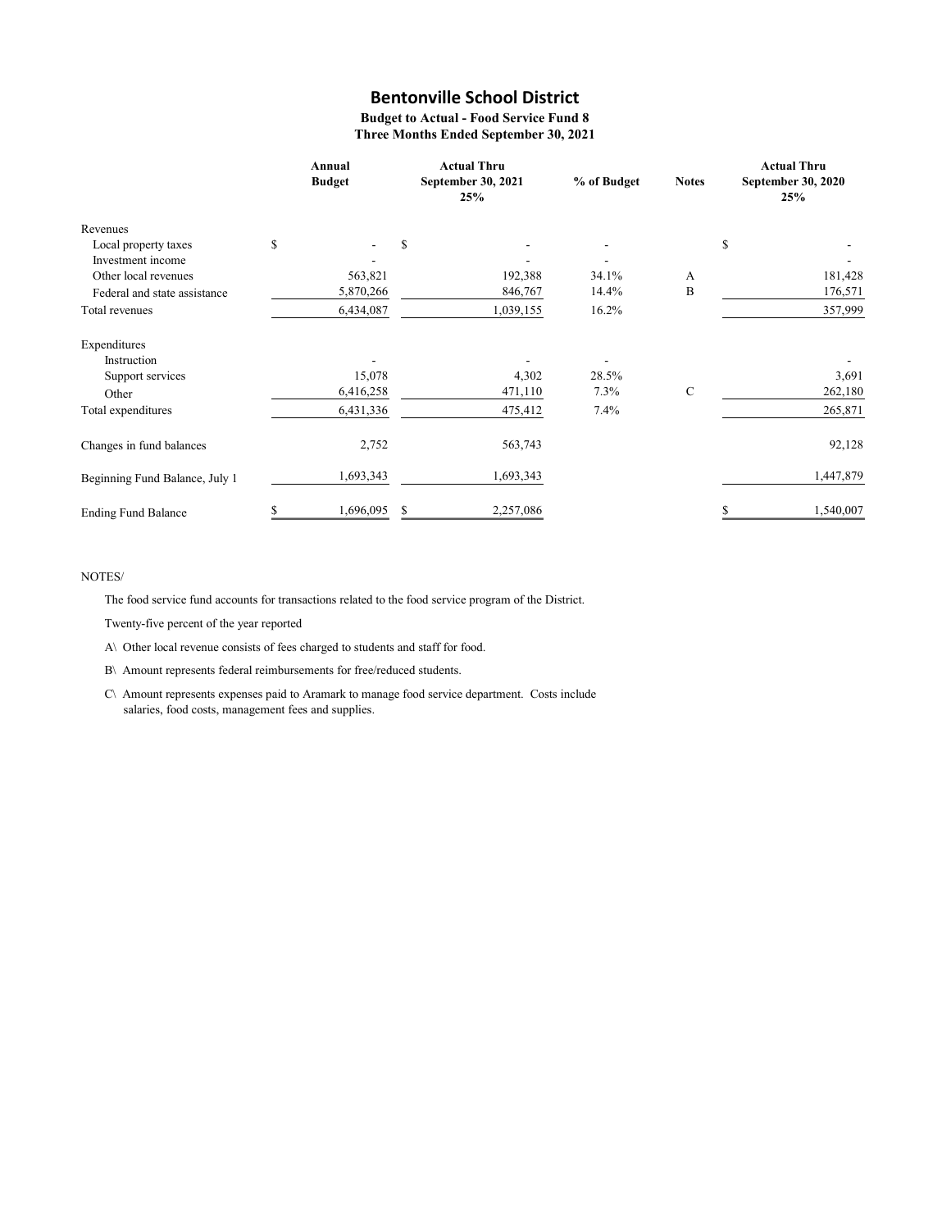Budget to Actual - Food Service Fund 8 Three Months Ended September 30, 2021

|                                |    | Annual<br><b>Budget</b> |    | <b>Actual Thru</b><br>September 30, 2021<br>25% | % of Budget | <b>Notes</b> | <b>Actual Thru</b><br>September 30, 2020<br>25% |  |
|--------------------------------|----|-------------------------|----|-------------------------------------------------|-------------|--------------|-------------------------------------------------|--|
| Revenues                       |    |                         |    |                                                 |             |              |                                                 |  |
| Local property taxes           | \$ |                         | \$ |                                                 |             |              | \$                                              |  |
| Investment income              |    |                         |    |                                                 |             |              |                                                 |  |
| Other local revenues           |    | 563,821                 |    | 192,388                                         | 34.1%       | А            | 181,428                                         |  |
| Federal and state assistance   |    | 5,870,266               |    | 846,767                                         | 14.4%       | B            | 176,571                                         |  |
| Total revenues                 |    | 6,434,087               |    | 1,039,155                                       | 16.2%       |              | 357,999                                         |  |
| Expenditures                   |    |                         |    |                                                 |             |              |                                                 |  |
| Instruction                    |    |                         |    |                                                 |             |              |                                                 |  |
| Support services               |    | 15,078                  |    | 4,302                                           | 28.5%       |              | 3,691                                           |  |
| Other                          |    | 6,416,258               |    | 471,110                                         | 7.3%        | $\mathbf C$  | 262,180                                         |  |
| Total expenditures             |    | 6,431,336               |    | 475,412                                         | 7.4%        |              | 265,871                                         |  |
| Changes in fund balances       |    | 2,752                   |    | 563,743                                         |             |              | 92,128                                          |  |
| Beginning Fund Balance, July 1 |    | 1,693,343               |    | 1,693,343                                       |             |              | 1,447,879                                       |  |
| <b>Ending Fund Balance</b>     | \$ | 1,696,095               | \$ | 2,257,086                                       |             |              | 1,540,007                                       |  |

#### NOTES/

The food service fund accounts for transactions related to the food service program of the District.

Twenty-five percent of the year reported

A\ Other local revenue consists of fees charged to students and staff for food.

B\ Amount represents federal reimbursements for free/reduced students.

C\ Amount represents expenses paid to Aramark to manage food service department. Costs include salaries, food costs, management fees and supplies.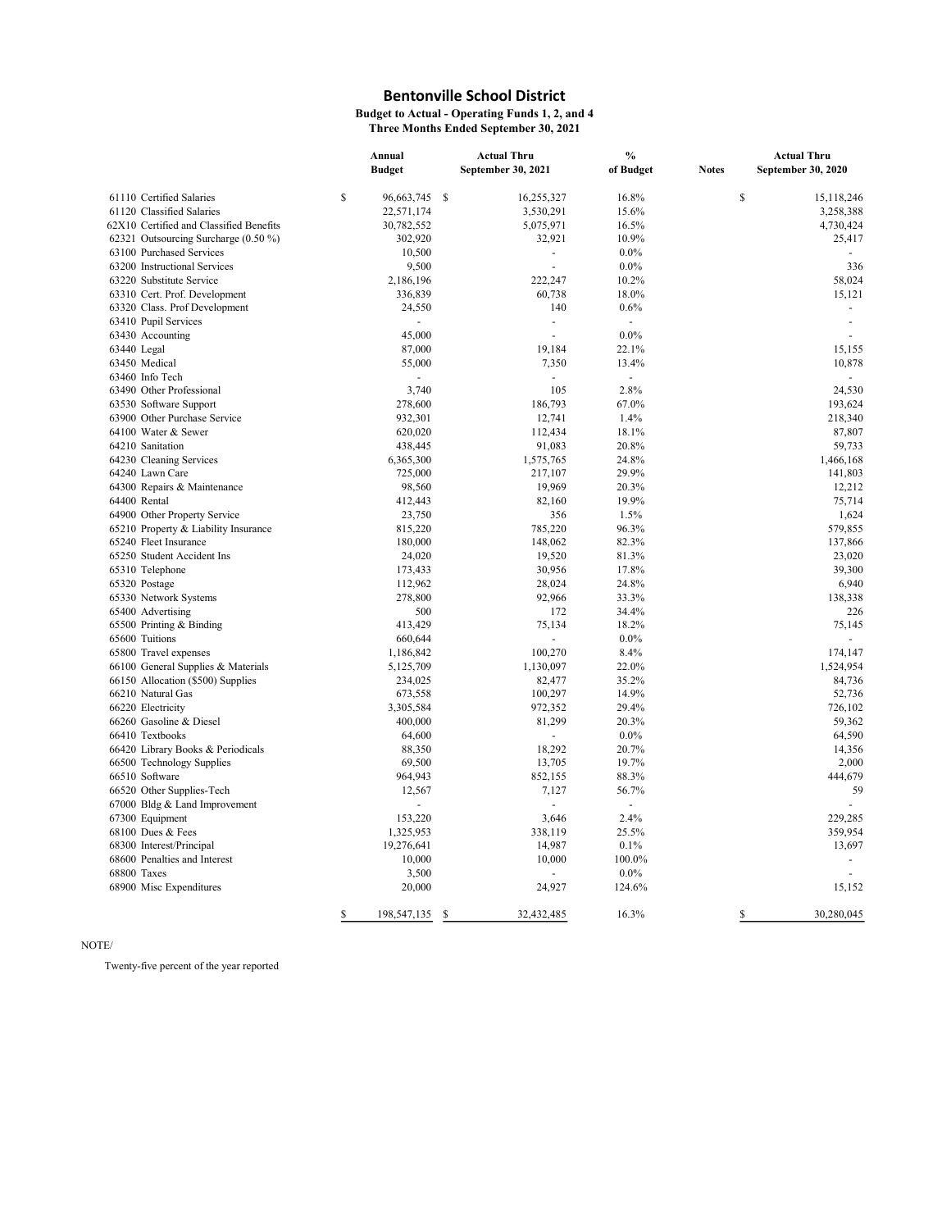Budget to Actual - Operating Funds 1, 2, and 4

Three Months Ended September 30, 2021

|                                         | Annual |                |   | <b>Actual Thru</b> | $\%$           |              | <b>Actual Thru</b>       |  |
|-----------------------------------------|--------|----------------|---|--------------------|----------------|--------------|--------------------------|--|
|                                         |        | <b>Budget</b>  |   | September 30, 2021 | of Budget      | <b>Notes</b> | September 30, 2020       |  |
| 61110 Certified Salaries                | \$     | 96,663,745 \$  |   | 16,255,327         | 16.8%          | \$           | 15.118.246               |  |
| 61120 Classified Salaries               |        | 22,571,174     |   | 3,530,291          | 15.6%          |              | 3,258,388                |  |
| 62X10 Certified and Classified Benefits |        | 30,782,552     |   | 5,075,971          | 16.5%          |              | 4,730,424                |  |
| 62321 Outsourcing Surcharge (0.50 %)    |        | 302,920        |   | 32,921             | 10.9%          |              | 25,417                   |  |
| 63100 Purchased Services                |        | 10,500         |   |                    | $0.0\%$        |              |                          |  |
| 63200 Instructional Services            |        | 9,500          |   |                    | $0.0\%$        |              | 336                      |  |
| 63220 Substitute Service                |        | 2,186,196      |   | 222,247            | 10.2%          |              | 58,024                   |  |
| 63310 Cert. Prof. Development           |        | 336,839        |   | 60,738             | 18.0%          |              | 15,121                   |  |
| 63320 Class. Prof Development           |        | 24,550         |   | 140                | 0.6%           |              | $\blacksquare$           |  |
| 63410 Pupil Services                    |        | $\blacksquare$ |   | $\blacksquare$     | $\blacksquare$ |              | $\overline{\phantom{a}}$ |  |
| 63430 Accounting                        |        | 45,000         |   |                    | $0.0\%$        |              |                          |  |
| 63440 Legal                             |        | 87,000         |   | 19,184             | 22.1%          |              | 15,155                   |  |
| 63450 Medical                           |        | 55,000         |   | 7,350              | 13.4%          |              | 10,878                   |  |
| 63460 Info Tech                         |        |                |   |                    |                |              |                          |  |
| 63490 Other Professional                |        | 3,740          |   | 105                | 2.8%           |              | 24,530                   |  |
| 63530 Software Support                  |        | 278,600        |   | 186,793            | 67.0%          |              | 193,624                  |  |
| 63900 Other Purchase Service            |        | 932,301        |   | 12,741             | 1.4%           |              | 218,340                  |  |
| 64100 Water & Sewer                     |        | 620,020        |   | 112,434            | 18.1%          |              | 87,807                   |  |
| 64210 Sanitation                        |        | 438,445        |   | 91,083             | 20.8%          |              | 59,733                   |  |
| 64230 Cleaning Services                 |        | 6,365,300      |   | 1,575,765          | 24.8%          |              | 1,466,168                |  |
| 64240 Lawn Care                         |        | 725,000        |   | 217,107            | 29.9%          |              | 141,803                  |  |
| 64300 Repairs & Maintenance             |        | 98,560         |   | 19,969             | 20.3%          |              | 12,212                   |  |
| 64400 Rental                            |        | 412,443        |   | 82,160             | 19.9%          |              | 75,714                   |  |
| 64900 Other Property Service            |        | 23,750         |   | 356                | 1.5%           |              | 1,624                    |  |
| 65210 Property & Liability Insurance    |        | 815,220        |   | 785,220            | 96.3%          |              | 579,855                  |  |
| 65240 Fleet Insurance                   |        | 180,000        |   | 148,062            | 82.3%          |              | 137,866                  |  |
| 65250 Student Accident Ins              |        | 24,020         |   | 19,520             | 81.3%          |              | 23,020                   |  |
| 65310 Telephone                         |        | 173,433        |   | 30,956             | 17.8%          |              | 39,300                   |  |
| 65320 Postage                           |        | 112,962        |   | 28,024             | 24.8%          |              | 6,940                    |  |
| 65330 Network Systems                   |        | 278,800        |   | 92,966             | 33.3%          |              | 138,338                  |  |
| 65400 Advertising                       |        | 500            |   | 172                | 34.4%          |              | 226                      |  |
| 65500 Printing & Binding                |        | 413,429        |   | 75,134             | 18.2%          |              | 75,145                   |  |
| 65600 Tuitions                          |        | 660,644        |   |                    | $0.0\%$        |              |                          |  |
| 65800 Travel expenses                   |        | 1,186,842      |   | 100,270            | 8.4%           |              | 174,147                  |  |
| 66100 General Supplies & Materials      |        | 5,125,709      |   | 1,130,097          | 22.0%          |              | 1,524,954                |  |
| 66150 Allocation (\$500) Supplies       |        | 234,025        |   | 82,477             | 35.2%          |              | 84,736                   |  |
| 66210 Natural Gas                       |        | 673,558        |   | 100,297            | 14.9%          |              | 52,736                   |  |
| 66220 Electricity                       |        | 3,305,584      |   | 972,352            | 29.4%          |              | 726,102                  |  |
| 66260 Gasoline & Diesel                 |        | 400,000        |   | 81,299             | 20.3%          |              | 59,362                   |  |
| 66410 Textbooks                         |        | 64,600         |   |                    | $0.0\%$        |              | 64,590                   |  |
| 66420 Library Books & Periodicals       |        | 88,350         |   | 18,292             | 20.7%          |              | 14,356                   |  |
| 66500 Technology Supplies               |        | 69,500         |   | 13,705             | 19.7%          |              | 2,000                    |  |
| 66510 Software                          |        | 964,943        |   | 852,155            | 88.3%          |              | 444,679                  |  |
| 66520 Other Supplies-Tech               |        | 12,567         |   | 7,127              | 56.7%          |              | 59                       |  |
| 67000 Bldg & Land Improvement           |        |                |   |                    | ä,             |              |                          |  |
| 67300 Equipment                         |        | 153,220        |   | 3,646              | 2.4%           |              | 229,285                  |  |
| 68100 Dues & Fees                       |        | 1,325,953      |   | 338,119            | 25.5%          |              | 359,954                  |  |
| 68300 Interest/Principal                |        | 19,276,641     |   | 14,987             | 0.1%           |              | 13,697                   |  |
| 68600 Penalties and Interest            |        | 10,000         |   | 10,000             | 100.0%         |              | $\sim$                   |  |
| 68800 Taxes                             |        | 3,500          |   | ÷                  | $0.0\%$        |              |                          |  |
| 68900 Misc Expenditures                 |        | 20,000         |   | 24,927             | 124.6%         |              | 15,152                   |  |
|                                         |        |                |   |                    |                |              |                          |  |
|                                         | \$     | 198,547,135    | S | 32,432,485         | 16.3%          | \$           | 30,280,045               |  |

NOTE/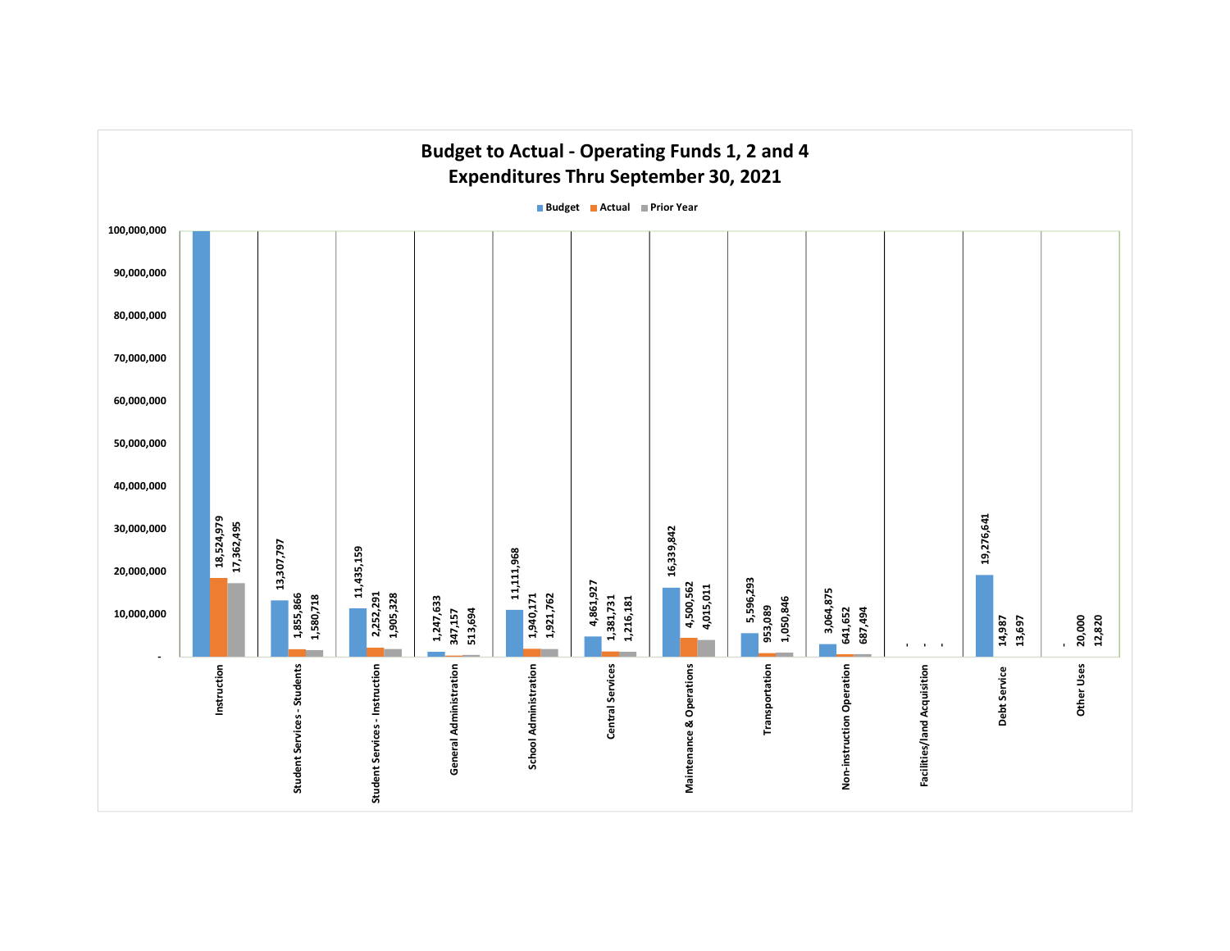